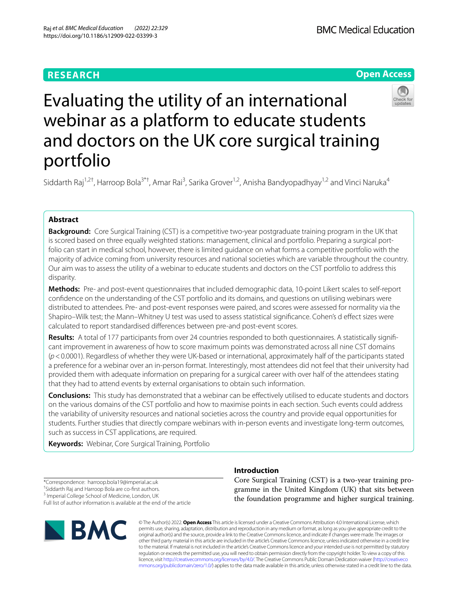# **RESEARCH**





# Evaluating the utility of an international webinar as a platform to educate students and doctors on the UK core surgical training portfolio

Siddarth Raj<sup>1,2†</sup>, Harroop Bola<sup>3\*†</sup>, Amar Rai<sup>3</sup>, Sarika Grover<sup>1,2</sup>, Anisha Bandyopadhyay<sup>1,2</sup> and Vinci Naruka<sup>4</sup>

### **Abstract**

**Background:** Core Surgical Training (CST) is a competitive two-year postgraduate training program in the UK that is scored based on three equally weighted stations: management, clinical and portfolio. Preparing a surgical portfolio can start in medical school, however, there is limited guidance on what forms a competitive portfolio with the majority of advice coming from university resources and national societies which are variable throughout the country. Our aim was to assess the utility of a webinar to educate students and doctors on the CST portfolio to address this disparity.

**Methods:** Pre- and post-event questionnaires that included demographic data, 10-point Likert scales to self-report confdence on the understanding of the CST portfolio and its domains, and questions on utilising webinars were distributed to attendees. Pre- and post-event responses were paired, and scores were assessed for normality via the Shapiro–Wilk test; the Mann–Whitney U test was used to assess statistical signifcance. Cohen's d efect sizes were calculated to report standardised diferences between pre-and post-event scores.

**Results:** A total of 177 participants from over 24 countries responded to both questionnaires. A statistically signifcant improvement in awareness of how to score maximum points was demonstrated across all nine CST domains (*p*<0.0001). Regardless of whether they were UK-based or international, approximately half of the participants stated a preference for a webinar over an in-person format. Interestingly, most attendees did not feel that their university had provided them with adequate information on preparing for a surgical career with over half of the attendees stating that they had to attend events by external organisations to obtain such information.

**Conclusions:** This study has demonstrated that a webinar can be efectively utilised to educate students and doctors on the various domains of the CST portfolio and how to maximise points in each section. Such events could address the variability of university resources and national societies across the country and provide equal opportunities for students. Further studies that directly compare webinars with in-person events and investigate long-term outcomes, such as success in CST applications, are required.

**Keywords:** Webinar, Core Surgical Training, Portfolio

\*Correspondence: harroop.bola19@imperial.ac.uk † Siddarth Raj and Harroop Bola are co-frst authors. <sup>3</sup> Imperial College School of Medicine, London, UK

Full list of author information is available at the end of the article



## **Introduction**

Core Surgical Training (CST) is a two-year training programme in the United Kingdom (UK) that sits between the foundation programme and higher surgical training.

© The Author(s) 2022. **Open Access** This article is licensed under a Creative Commons Attribution 4.0 International License, which permits use, sharing, adaptation, distribution and reproduction in any medium or format, as long as you give appropriate credit to the original author(s) and the source, provide a link to the Creative Commons licence, and indicate if changes were made. The images or other third party material in this article are included in the article's Creative Commons licence, unless indicated otherwise in a credit line to the material. If material is not included in the article's Creative Commons licence and your intended use is not permitted by statutory regulation or exceeds the permitted use, you will need to obtain permission directly from the copyright holder. To view a copy of this licence, visit [http://creativecommons.org/licenses/by/4.0/.](http://creativecommons.org/licenses/by/4.0/) The Creative Commons Public Domain Dedication waiver ([http://creativeco](http://creativecommons.org/publicdomain/zero/1.0/) [mmons.org/publicdomain/zero/1.0/](http://creativecommons.org/publicdomain/zero/1.0/)) applies to the data made available in this article, unless otherwise stated in a credit line to the data.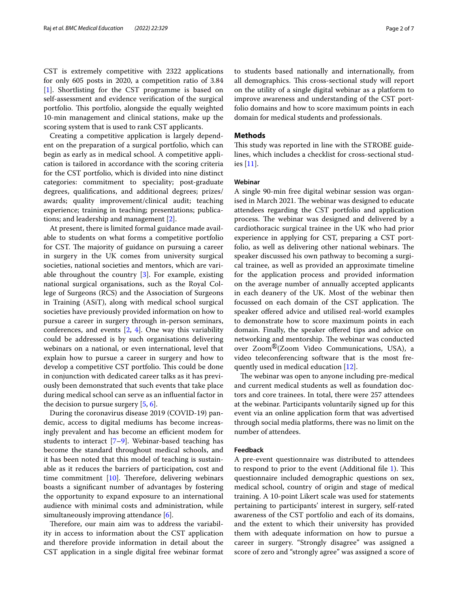CST is extremely competitive with 2322 applications for only 605 posts in 2020, a competition ratio of 3.84 [[1\]](#page-6-0). Shortlisting for the CST programme is based on self-assessment and evidence verifcation of the surgical portfolio. This portfolio, alongside the equally weighted 10-min management and clinical stations, make up the scoring system that is used to rank CST applicants.

Creating a competitive application is largely dependent on the preparation of a surgical portfolio, which can begin as early as in medical school. A competitive application is tailored in accordance with the scoring criteria for the CST portfolio, which is divided into nine distinct categories: commitment to speciality; post-graduate degrees, qualifcations, and additional degrees; prizes/ awards; quality improvement/clinical audit; teaching experience; training in teaching; presentations; publications; and leadership and management [[2\]](#page-6-1).

At present, there is limited formal guidance made available to students on what forms a competitive portfolio for CST. The majority of guidance on pursuing a career in surgery in the UK comes from university surgical societies, national societies and mentors, which are variable throughout the country [\[3](#page-6-2)]. For example, existing national surgical organisations, such as the Royal College of Surgeons (RCS) and the Association of Surgeons in Training (ASiT), along with medical school surgical societies have previously provided information on how to pursue a career in surgery through in-person seminars, conferences, and events  $[2, 4]$  $[2, 4]$  $[2, 4]$  $[2, 4]$ . One way this variability could be addressed is by such organisations delivering webinars on a national, or even international, level that explain how to pursue a career in surgery and how to develop a competitive CST portfolio. This could be done in conjunction with dedicated career talks as it has previously been demonstrated that such events that take place during medical school can serve as an infuential factor in the decision to pursue surgery  $[5, 6]$  $[5, 6]$  $[5, 6]$ .

During the coronavirus disease 2019 (COVID-19) pandemic, access to digital mediums has become increasingly prevalent and has become an efficient modem for students to interact [[7](#page-6-6)[–9](#page-6-7)]. Webinar-based teaching has become the standard throughout medical schools, and it has been noted that this model of teaching is sustainable as it reduces the barriers of participation, cost and time commitment  $[10]$  $[10]$ . Therefore, delivering webinars boasts a signifcant number of advantages by fostering the opportunity to expand exposure to an international audience with minimal costs and administration, while simultaneously improving attendance [\[6](#page-6-5)].

Therefore, our main aim was to address the variability in access to information about the CST application and therefore provide information in detail about the CST application in a single digital free webinar format to students based nationally and internationally, from all demographics. This cross-sectional study will report on the utility of a single digital webinar as a platform to improve awareness and understanding of the CST portfolio domains and how to score maximum points in each domain for medical students and professionals.

#### **Methods**

This study was reported in line with the STROBE guidelines, which includes a checklist for cross-sectional studies [\[11](#page-6-9)].

#### **Webinar**

A single 90-min free digital webinar session was organised in March 2021. The webinar was designed to educate attendees regarding the CST portfolio and application process. The webinar was designed and delivered by a cardiothoracic surgical trainee in the UK who had prior experience in applying for CST, preparing a CST portfolio, as well as delivering other national webinars. The speaker discussed his own pathway to becoming a surgical trainee, as well as provided an approximate timeline for the application process and provided information on the average number of annually accepted applicants in each deanery of the UK. Most of the webinar then focussed on each domain of the CST application. The speaker offered advice and utilised real-world examples to demonstrate how to score maximum points in each domain. Finally, the speaker offered tips and advice on networking and mentorship. The webinar was conducted over ZoomⓇ(Zoom Video Communications, USA), a video teleconferencing software that is the most frequently used in medical education [\[12\]](#page-6-10).

The webinar was open to anyone including pre-medical and current medical students as well as foundation doctors and core trainees. In total, there were 257 attendees at the webinar. Participants voluntarily signed up for this event via an online application form that was advertised through social media platforms, there was no limit on the number of attendees.

#### **Feedback**

A pre-event questionnaire was distributed to attendees to respond to prior to the event (Additional file  $1$ ). This questionnaire included demographic questions on sex, medical school, country of origin and stage of medical training. A 10-point Likert scale was used for statements pertaining to participants' interest in surgery, self-rated awareness of the CST portfolio and each of its domains, and the extent to which their university has provided them with adequate information on how to pursue a career in surgery. "Strongly disagree" was assigned a score of zero and "strongly agree" was assigned a score of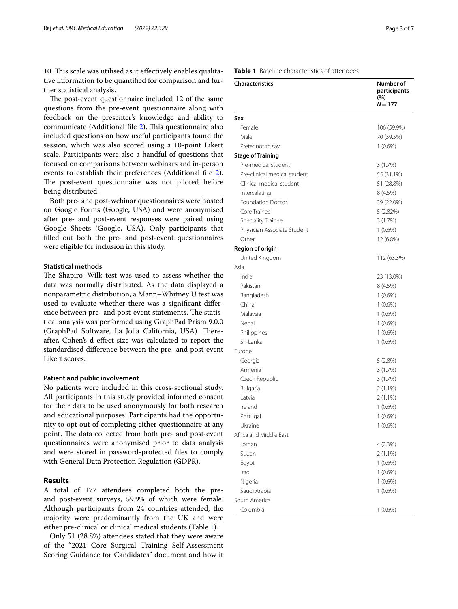10. This scale was utilised as it effectively enables qualitative information to be quantifed for comparison and further statistical analysis.

The post-event questionnaire included 12 of the same questions from the pre-event questionnaire along with feedback on the presenter's knowledge and ability to communicate (Additional file [2](#page-6-12)). This questionnaire also included questions on how useful participants found the session, which was also scored using a 10-point Likert scale. Participants were also a handful of questions that focused on comparisons between webinars and in-person events to establish their preferences (Additional fle [2](#page-6-12)). The post-event questionnaire was not piloted before being distributed.

Both pre- and post-webinar questionnaires were hosted on Google Forms (Google, USA) and were anonymised after pre- and post-event responses were paired using Google Sheets (Google, USA). Only participants that flled out both the pre- and post-event questionnaires were eligible for inclusion in this study.

#### **Statistical methods**

The Shapiro–Wilk test was used to assess whether the data was normally distributed. As the data displayed a nonparametric distribution, a Mann–Whitney U test was used to evaluate whether there was a signifcant diference between pre- and post-event statements. The statistical analysis was performed using GraphPad Prism 9.0.0 (GraphPad Software, La Jolla California, USA). Thereafter, Cohen's d efect size was calculated to report the standardised diference between the pre- and post-event Likert scores.

#### **Patient and public involvement**

No patients were included in this cross-sectional study. All participants in this study provided informed consent for their data to be used anonymously for both research and educational purposes. Participants had the opportunity to opt out of completing either questionnaire at any point. The data collected from both pre- and post-event questionnaires were anonymised prior to data analysis and were stored in password-protected fles to comply with General Data Protection Regulation (GDPR).

#### **Results**

A total of 177 attendees completed both the preand post-event surveys, 59.9% of which were female. Although participants from 24 countries attended, the majority were predominantly from the UK and were either pre-clinical or clinical medical students (Table [1](#page-2-0)).

Only 51 (28.8%) attendees stated that they were aware of the "2021 Core Surgical Training Self-Assessment Scoring Guidance for Candidates" document and how it

#### <span id="page-2-0"></span>**Table 1** Baseline characteristics of attendees

| <b>Characteristics</b>                        | Number of<br>participants<br>(%)<br>$N = 177$ |
|-----------------------------------------------|-----------------------------------------------|
|                                               |                                               |
| Sex<br>Female                                 |                                               |
|                                               | 106 (59.9%)                                   |
| Male                                          | 70 (39.5%)                                    |
| Prefer not to say<br><b>Stage of Training</b> | $1(0.6\%)$                                    |
| Pre-medical student                           |                                               |
| Pre-clinical medical student                  | 3(1.7%)                                       |
| Clinical medical student                      | 55 (31.1%)<br>51 (28.8%)                      |
|                                               |                                               |
| Intercalating<br><b>Foundation Doctor</b>     | 8(4.5%)<br>39 (22.0%)                         |
| Core Trainee                                  | 5 (2.82%)                                     |
| Speciality Trainee                            | 3(1.7%)                                       |
| Physician Associate Student                   | $1(0.6\%)$                                    |
| Other                                         | 12 (6.8%)                                     |
| <b>Region of origin</b>                       |                                               |
| United Kingdom                                | 112 (63.3%)                                   |
| Asia                                          |                                               |
| India                                         | 23 (13.0%)                                    |
| Pakistan                                      | 8(4.5%)                                       |
| Bangladesh                                    | $1(0.6\%)$                                    |
| China                                         | $1(0.6\%)$                                    |
| Malaysia                                      | $1(0.6\%)$                                    |
| Nepal                                         | $1(0.6\%)$                                    |
| Philippines                                   | $1(0.6\%)$                                    |
| Sri-Lanka                                     | $1(0.6\%)$                                    |
| Europe                                        |                                               |
| Georgia                                       | 5 (2.8%)                                      |
| Armenia                                       | 3(1.7%)                                       |
| Czech Republic                                | 3(1.7%)                                       |
| Bulgaria                                      | $2(1.1\%)$                                    |
| Latvia                                        | 2 (1.1%)                                      |
| Ireland                                       | $1(0.6\%)$                                    |
| Portugal                                      | $1(0.6\%)$                                    |
| Ukraine                                       | $1(0.6\%)$                                    |
| Africa and Middle East                        |                                               |
| Jordan                                        | 4 (2.3%)                                      |
| Sudan                                         | 2 (1.1%)                                      |
| Egypt                                         | $1(0.6\%)$                                    |
| Iraq                                          | $1(0.6\%)$                                    |
| Nigeria                                       | $1(0.6\%)$                                    |
| Saudi Arabia                                  | $1(0.6\%)$                                    |
| South America                                 |                                               |
| Colombia                                      | $1(0.6\%)$                                    |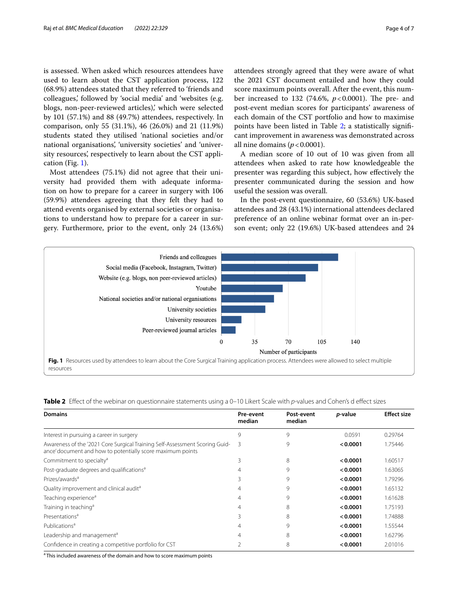is assessed. When asked which resources attendees have used to learn about the CST application process, 122 (68.9%) attendees stated that they referred to 'friends and colleagues,' followed by 'social media' and 'websites (e.g. blogs, non-peer-reviewed articles),' which were selected by 101 (57.1%) and 88 (49.7%) attendees, respectively. In comparison, only 55 (31.1%), 46 (26.0%) and 21 (11.9%) students stated they utilised 'national societies and/or national organisations', 'university societies' and 'university resources', respectively to learn about the CST application (Fig. [1\)](#page-3-0).

Most attendees (75.1%) did not agree that their university had provided them with adequate information on how to prepare for a career in surgery with 106 (59.9%) attendees agreeing that they felt they had to attend events organised by external societies or organisations to understand how to prepare for a career in surgery. Furthermore, prior to the event, only 24 (13.6%) attendees strongly agreed that they were aware of what the 2021 CST document entailed and how they could score maximum points overall. After the event, this number increased to 132 (74.6%,  $p < 0.0001$ ). The pre- and post-event median scores for participants' awareness of each domain of the CST portfolio and how to maximise points have been listed in Table [2](#page-3-1); a statistically signifcant improvement in awareness was demonstrated across all nine domains  $(p < 0.0001)$ .

A median score of 10 out of 10 was given from all attendees when asked to rate how knowledgeable the presenter was regarding this subject, how efectively the presenter communicated during the session and how useful the session was overall.

In the post-event questionnaire, 60 (53.6%) UK-based attendees and 28 (43.1%) international attendees declared preference of an online webinar format over an in-person event; only 22 (19.6%) UK-based attendees and 24



<span id="page-3-1"></span><span id="page-3-0"></span>

|  | <b>Table 2</b> Effect of the webinar on questionnaire statements using a 0–10 Likert Scale with p-values and Cohen's d effect sizes |  |  |  |  |
|--|-------------------------------------------------------------------------------------------------------------------------------------|--|--|--|--|
|  |                                                                                                                                     |  |  |  |  |

| <b>Domains</b>                                                                                                                            | Pre-event<br>median | Post-event<br>median | <i>p</i> -value | <b>Effect size</b> |
|-------------------------------------------------------------------------------------------------------------------------------------------|---------------------|----------------------|-----------------|--------------------|
| Interest in pursuing a career in surgery                                                                                                  | 9                   | 9                    | 0.0591          | 0.29764            |
| Awareness of the '2021 Core Surgical Training Self-Assessment Scoring Guid-<br>ance' document and how to potentially score maximum points | 3                   | 9                    | < 0.0001        | 1.75446            |
| Commitment to specialty <sup>a</sup>                                                                                                      | 3                   | 8                    | < 0.0001        | 1.60517            |
| Post-graduate degrees and qualifications <sup>a</sup>                                                                                     | 4                   | 9                    | < 0.0001        | 1.63065            |
| Prizes/awards <sup>a</sup>                                                                                                                | ξ                   | 9                    | < 0.0001        | 1.79296            |
| Quality improvement and clinical audit <sup>a</sup>                                                                                       | 4                   | 9                    | < 0.0001        | 1.65132            |
| Teaching experience <sup>a</sup>                                                                                                          | 4                   | 9                    | < 0.0001        | 1.61628            |
| Training in teaching <sup>a</sup>                                                                                                         | 4                   | 8                    | < 0.0001        | 1.75193            |
| Presentations <sup>a</sup>                                                                                                                | ξ                   | 8                    | < 0.0001        | 1.74888            |
| Publications <sup>a</sup>                                                                                                                 | 4                   | 9                    | < 0.0001        | 1.55544            |
| Leadership and management <sup>a</sup>                                                                                                    | 4                   | 8                    | < 0.0001        | 1.62796            |
| Confidence in creating a competitive portfolio for CST                                                                                    |                     | 8                    | < 0.0001        | 2.01016            |

<sup>a</sup> This included awareness of the domain and how to score maximum points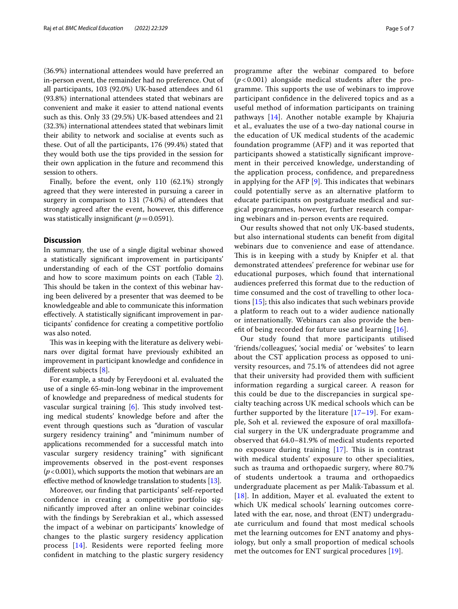(36.9%) international attendees would have preferred an in-person event, the remainder had no preference. Out of all participants, 103 (92.0%) UK-based attendees and 61 (93.8%) international attendees stated that webinars are convenient and make it easier to attend national events such as this. Only 33 (29.5%) UK-based attendees and 21 (32.3%) international attendees stated that webinars limit their ability to network and socialise at events such as these. Out of all the participants, 176 (99.4%) stated that they would both use the tips provided in the session for their own application in the future and recommend this session to others.

Finally, before the event, only 110 (62.1%) strongly agreed that they were interested in pursuing a career in surgery in comparison to 131 (74.0%) of attendees that strongly agreed after the event, however, this diference was statistically insignificant  $(p=0.0591)$ .

#### **Discussion**

In summary, the use of a single digital webinar showed a statistically signifcant improvement in participants' understanding of each of the CST portfolio domains and how to score maximum points on each (Table [2](#page-3-1)). This should be taken in the context of this webinar having been delivered by a presenter that was deemed to be knowledgeable and able to communicate this information efectively. A statistically signifcant improvement in participants' confdence for creating a competitive portfolio was also noted.

This was in keeping with the literature as delivery webinars over digital format have previously exhibited an improvement in participant knowledge and confdence in diferent subjects [\[8](#page-6-13)].

For example, a study by Fereydooni et al. evaluated the use of a single 65-min-long webinar in the improvement of knowledge and preparedness of medical students for vascular surgical training [[6\]](#page-6-5). This study involved testing medical students' knowledge before and after the event through questions such as "duration of vascular surgery residency training" and "minimum number of applications recommended for a successful match into vascular surgery residency training" with signifcant improvements observed in the post-event responses  $(p<0.001)$ , which supports the motion that webinars are an effective method of knowledge translation to students [\[13\]](#page-6-14).

Moreover, our fnding that participants' self-reported confdence in creating a competitive portfolio signifcantly improved after an online webinar coincides with the fndings by Serebrakian et al., which assessed the impact of a webinar on participants' knowledge of changes to the plastic surgery residency application process [[14\]](#page-6-15). Residents were reported feeling more confdent in matching to the plastic surgery residency programme after the webinar compared to before  $(p<0.001)$  alongside medical students after the programme. This supports the use of webinars to improve participant confdence in the delivered topics and as a useful method of information participants on training pathways [[14\]](#page-6-15). Another notable example by Khajuria et al., evaluates the use of a two-day national course in the education of UK medical students of the academic foundation programme (AFP) and it was reported that participants showed a statistically signifcant improvement in their perceived knowledge, understanding of the application process, confdence, and preparedness in applying for the AFP  $[9]$  $[9]$ . This indicates that webinars could potentially serve as an alternative platform to educate participants on postgraduate medical and surgical programmes, however, further research comparing webinars and in-person events are required.

Our results showed that not only UK-based students, but also international students can beneft from digital webinars due to convenience and ease of attendance. This is in keeping with a study by Knipfer et al. that demonstrated attendees' preference for webinar use for educational purposes, which found that international audiences preferred this format due to the reduction of time consumed and the cost of travelling to other locations [\[15](#page-6-16)]; this also indicates that such webinars provide a platform to reach out to a wider audience nationally or internationally. Webinars can also provide the beneft of being recorded for future use and learning [\[16](#page-6-17)].

Our study found that more participants utilised 'friends/colleagues', 'social media' or 'websites' to learn about the CST application process as opposed to university resources, and 75.1% of attendees did not agree that their university had provided them with sufficient information regarding a surgical career. A reason for this could be due to the discrepancies in surgical specialty teaching across UK medical schools which can be further supported by the literature [[17–](#page-6-18)[19](#page-6-19)]. For example, Soh et al. reviewed the exposure of oral maxillofacial surgery in the UK undergraduate programme and observed that 64.0–81.9% of medical students reported no exposure during training  $[17]$  $[17]$  $[17]$ . This is in contrast with medical students' exposure to other specialities, such as trauma and orthopaedic surgery, where 80.7% of students undertook a trauma and orthopaedics undergraduate placement as per Malik-Tabassum et al. [[18](#page-6-20)]. In addition, Mayer et al. evaluated the extent to which UK medical schools' learning outcomes correlated with the ear, nose, and throat (ENT) undergraduate curriculum and found that most medical schools met the learning outcomes for ENT anatomy and physiology, but only a small proportion of medical schools met the outcomes for ENT surgical procedures [\[19\]](#page-6-19).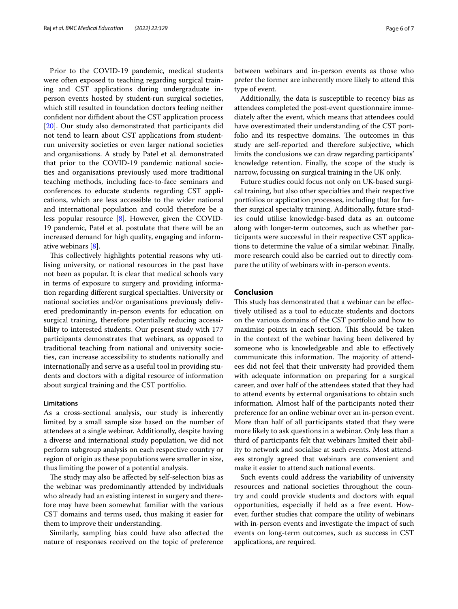Prior to the COVID-19 pandemic, medical students were often exposed to teaching regarding surgical training and CST applications during undergraduate inperson events hosted by student-run surgical societies, which still resulted in foundation doctors feeling neither confdent nor difdent about the CST application process [[20\]](#page-6-21). Our study also demonstrated that participants did not tend to learn about CST applications from studentrun university societies or even larger national societies and organisations. A study by Patel et al. demonstrated that prior to the COVID-19 pandemic national societies and organisations previously used more traditional teaching methods, including face-to-face seminars and conferences to educate students regarding CST applications, which are less accessible to the wider national and international population and could therefore be a less popular resource [\[8](#page-6-13)]. However, given the COVID-19 pandemic, Patel et al. postulate that there will be an increased demand for high quality, engaging and informative webinars [\[8](#page-6-13)].

This collectively highlights potential reasons why utilising university, or national resources in the past have not been as popular. It is clear that medical schools vary in terms of exposure to surgery and providing information regarding diferent surgical specialties. University or national societies and/or organisations previously delivered predominantly in-person events for education on surgical training, therefore potentially reducing accessibility to interested students. Our present study with 177 participants demonstrates that webinars, as opposed to traditional teaching from national and university societies, can increase accessibility to students nationally and internationally and serve as a useful tool in providing students and doctors with a digital resource of information about surgical training and the CST portfolio.

#### **Limitations**

As a cross-sectional analysis, our study is inherently limited by a small sample size based on the number of attendees at a single webinar. Additionally, despite having a diverse and international study population, we did not perform subgroup analysis on each respective country or region of origin as these populations were smaller in size, thus limiting the power of a potential analysis.

The study may also be affected by self-selection bias as the webinar was predominantly attended by individuals who already had an existing interest in surgery and therefore may have been somewhat familiar with the various CST domains and terms used, thus making it easier for them to improve their understanding.

Similarly, sampling bias could have also afected the nature of responses received on the topic of preference between webinars and in-person events as those who prefer the former are inherently more likely to attend this type of event.

Additionally, the data is susceptible to recency bias as attendees completed the post-event questionnaire immediately after the event, which means that attendees could have overestimated their understanding of the CST portfolio and its respective domains. The outcomes in this study are self-reported and therefore subjective, which limits the conclusions we can draw regarding participants' knowledge retention. Finally, the scope of the study is narrow, focussing on surgical training in the UK only.

Future studies could focus not only on UK-based surgical training, but also other specialties and their respective portfolios or application processes, including that for further surgical specialty training. Additionally, future studies could utilise knowledge-based data as an outcome along with longer-term outcomes, such as whether participants were successful in their respective CST applications to determine the value of a similar webinar. Finally, more research could also be carried out to directly compare the utility of webinars with in-person events.

#### **Conclusion**

This study has demonstrated that a webinar can be effectively utilised as a tool to educate students and doctors on the various domains of the CST portfolio and how to maximise points in each section. This should be taken in the context of the webinar having been delivered by someone who is knowledgeable and able to efectively communicate this information. The majority of attendees did not feel that their university had provided them with adequate information on preparing for a surgical career, and over half of the attendees stated that they had to attend events by external organisations to obtain such information. Almost half of the participants noted their preference for an online webinar over an in-person event. More than half of all participants stated that they were more likely to ask questions in a webinar. Only less than a third of participants felt that webinars limited their ability to network and socialise at such events. Most attendees strongly agreed that webinars are convenient and make it easier to attend such national events.

Such events could address the variability of university resources and national societies throughout the country and could provide students and doctors with equal opportunities, especially if held as a free event. However, further studies that compare the utility of webinars with in-person events and investigate the impact of such events on long-term outcomes, such as success in CST applications, are required.